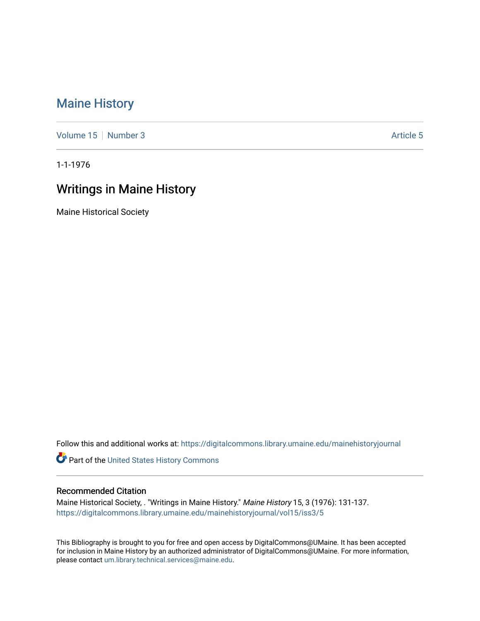## [Maine History](https://digitalcommons.library.umaine.edu/mainehistoryjournal)

[Volume 15](https://digitalcommons.library.umaine.edu/mainehistoryjournal/vol15) [Number 3](https://digitalcommons.library.umaine.edu/mainehistoryjournal/vol15/iss3) Article 5

1-1-1976

## Writings in Maine History

Maine Historical Society

Follow this and additional works at: [https://digitalcommons.library.umaine.edu/mainehistoryjournal](https://digitalcommons.library.umaine.edu/mainehistoryjournal?utm_source=digitalcommons.library.umaine.edu%2Fmainehistoryjournal%2Fvol15%2Fiss3%2F5&utm_medium=PDF&utm_campaign=PDFCoverPages) 

Part of the [United States History Commons](http://network.bepress.com/hgg/discipline/495?utm_source=digitalcommons.library.umaine.edu%2Fmainehistoryjournal%2Fvol15%2Fiss3%2F5&utm_medium=PDF&utm_campaign=PDFCoverPages) 

## Recommended Citation

Maine Historical Society, . "Writings in Maine History." Maine History 15, 3 (1976): 131-137. [https://digitalcommons.library.umaine.edu/mainehistoryjournal/vol15/iss3/5](https://digitalcommons.library.umaine.edu/mainehistoryjournal/vol15/iss3/5?utm_source=digitalcommons.library.umaine.edu%2Fmainehistoryjournal%2Fvol15%2Fiss3%2F5&utm_medium=PDF&utm_campaign=PDFCoverPages)

This Bibliography is brought to you for free and open access by DigitalCommons@UMaine. It has been accepted for inclusion in Maine History by an authorized administrator of DigitalCommons@UMaine. For more information, please contact [um.library.technical.services@maine.edu.](mailto:um.library.technical.services@maine.edu)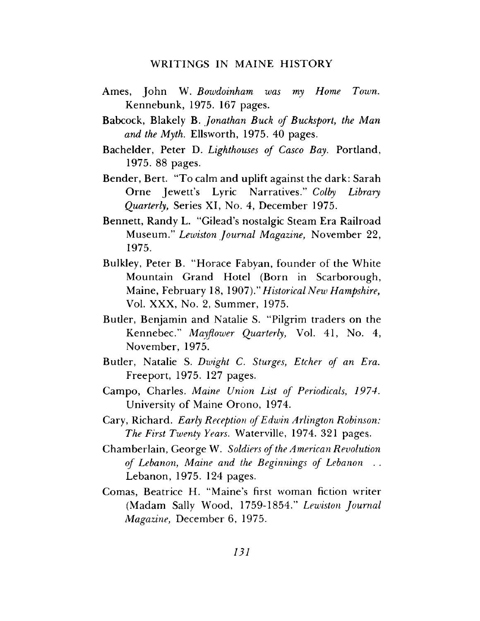## WRITINGS IN MAINE HISTORY

- Ames, John W. *Bowdoinham was my Home Town.* Kennebunk, 1975. 167 pages.
- Babcock, Blakely B. *Jonathan Buck of Bucksport, the Man and the Myth.* Ellsworth, 1975. 40 pages.
- Bachelder, Peter D. *Lighthouses of Casco Bay.* Portland, 1975. 88 pages.
- Bender, Bert. "To calm and uplift against the dark: Sarah Orne Jewett's Lyric Narratives." *Colby Library Quarterly,* Series XI, No. 4, December 1975.
- Bennett, Randy L. "Gilead's nostalgic Steam Era Railroad Museum." *Lewiston Journal Magazine,* November 22, 1975.
- Bulkley, Peter B. "Horace Fabyan, founder of the White Mountain Grand Hotel (Born in Scarborough, Maine, February 18, 1907)." *Historical New Hampshire,* Vol. XXX, No. 2, Summer, 1975.
- Butler, Benjamin and Natalie S. "Pilgrim traders on the Kennebec." *Mayflower Quarterly,* Vol. 41, No. 4, November, 1975.
- Buder, Natalie S. *Dwight C. Sturges, Etcher of an Era.* Freeport, 1975. 127 pages.
- Campo, Charles. *Maine Union List of Periodicals, 1974.* University of Maine Orono, 1974.
- Cary, Richard. *Early Reception ofEdwin Arlington Robinson: The First Twenty Years.* Waterville, 1974. 321 pages.
- Chamberlain, George W. *Soldiers ofthe American Revolution of Lebanon, Maine and the Beginnings of Lebanon . .* Lebanon, 1975. 124 pages.
- Comas, Beatrice H. "Maine's first woman fiction writer (Madam Sally Wood, 1759-1854." *Lewiston Journal Magazine,* December 6, 1975.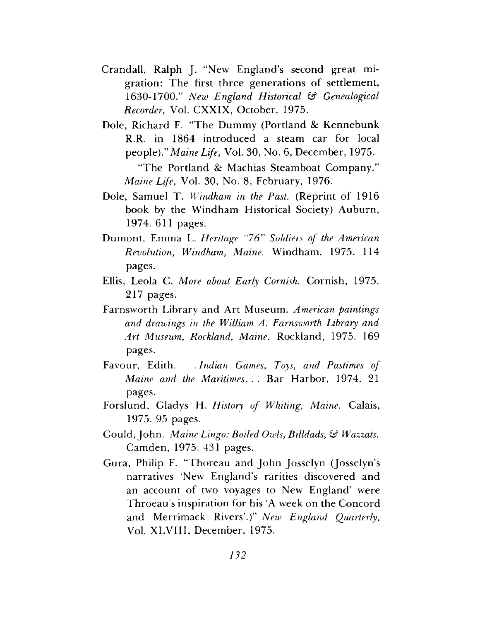- Crandall, Ralph J. "New England's second great migration: The first three generations of settlement, 1630-1700." *New England Historical & Genealogical Recorder,* Vol. CXXIX, October, 1975.
- Dole, Richard F. "The Dummy (Portland & Kennebunk R.R. in 1864 introduced a steam car for local people)." *Maine Life,* Vol. 30, No. 6, December, 1975. "The Portland & Machias Steamboat Company." *Maine Life,* Vol. 30, No. 8, February, 1976.

Dole, Samuel T. *Windham in the Past.* (Reprint of 1916 book by the Windham Historical Society) Auburn, 1974. 611 pages.

- Dumont, Emma L. *Heritage "76" Soldiers of the American Revolution, Windham, Maine.* Windham, 1975. 114 pages.
- Ellis, Leola C. *More about Early Cornish.* Cornish, 1975. 217 pages.
- Farnsworth Library and Art Museum. *American paintings and drawings in the William A. Farnsworth Library and Art Museum, Rockland, Maine.* Rockland, 1975. 169 pages.
- Favour, Edith. *.Indian Games, Toys, and Pastimes of Maine and the Maritimes. . .* Bar Harbor, 1974. 21 pages.
- Forslund, Gladys H. *History of Whiting, Maine.* Calais, 1975. 95 pages.
- Gould,John. *Maine Lingo: Boiled Owls, Billdads, & Wazzats.* Camden, 1975. 431 pages.
- Gura, Philip F. "Thoreau and John Josselyn (Josselyn'<sup>s</sup> narratives 'New England's rarities discovered and an account of two voyages to New England' were Throeau'<sup>s</sup> inspiration for his 'A week on the Concord and Merrimack Rivers'.)" *New England Quarterly,* Vol. XLVIII, December, 1975.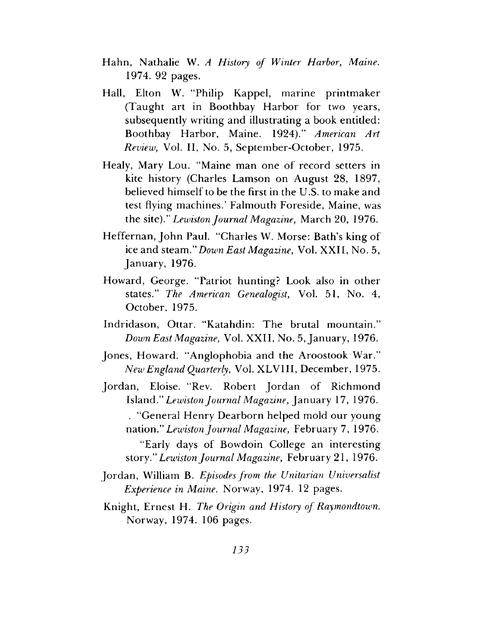- Hahn, Nathalie W. *A History of Winter Harbor, Maine.* 1974. 92 pages.
- Hall, Elton W. "Philip Kappel, marine printmaker (Taught art in Boothbay Harbor for two years, subsequently writing and illustrating a book entitled: Boothbay Harbor, Maine. 1924)." *American Art Review,* Vol. II, No. 5, September-October, 1975.
- Healy, Mary Lou. "Maine man one of record setters in kite history (Charles Lamson on August 28, 1897, believed himself to be the first in the U.S. to make and test flying machines.' Falmouth Foreside, Maine, was the site)." *Lewiston Journal Magazine,* March 20, 1976.
- Heffernan, John Paul. "Charles W. Morse: Bath's king of ice and steam." *Down East Magazine,* Vol. XXII, No. 5, January, 1976.
- Howard, George. "Patriot hunting? Look also in other states." *The American Genealogist,* Vol. 51, No. 4, October, 1975.
- Indridason, Ottar. "Katahdin: The brutal mountain." *Down East Magazine, Vol. XXII, No. 5, January, 1976.*
- Jones, Howard. "Anglophobia and the Aroostook War." *New England Quarterly,* Vol. XLVIII, December, 1975.
- Jordan, Eloise. "Rev. Robert Jordan of Richmond Island." *LewistonJournal Magazine,* January 17, 1976. . "General Henry Dearborn helped mold our young nation." *LewistonJournal Magazine,* February 7, 1976.

"Early days of Bowdoin College an interesting story." *Lewiston Journal Magazine,* February 21, 1976.

- Jordan, William B. *Episodesfrom the Unitarian Universalist Experience in Maine.* Norway, 1974. 12 pages.
- Knight, Ernest H. *The Origin and History of Raymondtown.* Norway, 1974. 106 pages.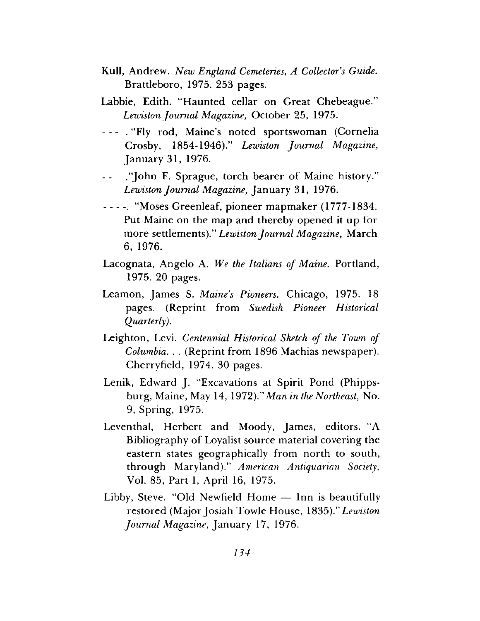- Kull, Andrew. *New England Cemeteries, A Collector's Guide.* Brattleboro, 1975. 253 pages.
- Labbie, Edith. "Haunted cellar on Great Chebeague." *Lewiston Journal Magazine,* October 25, 1975.
- ---- . "Fly rod, Maine's noted sportswoman (Cornelia Crosby, 1854-1946)." *Lewiston Journal Magazine,* January 31, 1976.
- ."John F. Sprague, torch bearer of Maine history."  $\overline{a}$ *Lewiston Journal Magazine,* January 31, 1976.
- ------ . "Moses Greenleaf, pioneer mapmaker (1777-1834. Put Maine on the map and thereby opened it up for more settlements)." *Lewiston Journal Magazine,* March 6, 1976.
- Lacognata, Angelo A. *We the Italians of Maine.* Portland, 1975. 20 pages.
- Leamon, James S. *Maine's Pioneers.* Chicago, 1975. 18 pages. (Reprint from *Swedish Pioneer Historical Quarterly).*
- Leighton, Levi. *Centennial Historical Sketch of the Town of Columbia. . .* (Reprint from 1896 Machias newspaper). Cherryfield, 1974. 30 pages.
- Lenik, Edward J. "Excavations at Spirit Pond (Phippsburg, Maine, May 14, 1972)." *Man in the Northeast,* No. 9, Spring, 1975.
- Leventhal, Herbert and Moody, James, editors. "A Bibliography of Loyalist source material covering the eastern states geographically from north to south, through Maryland)." *American Antiquarian Society,* Vol. 85, Part I, April 16, 1975.
- Libby, Steve. "Old Newfield Home Inn is beautifully restored (Major Josiah Towle House, 1835)." *Lewiston Journal Magazine,* January 17, 1976.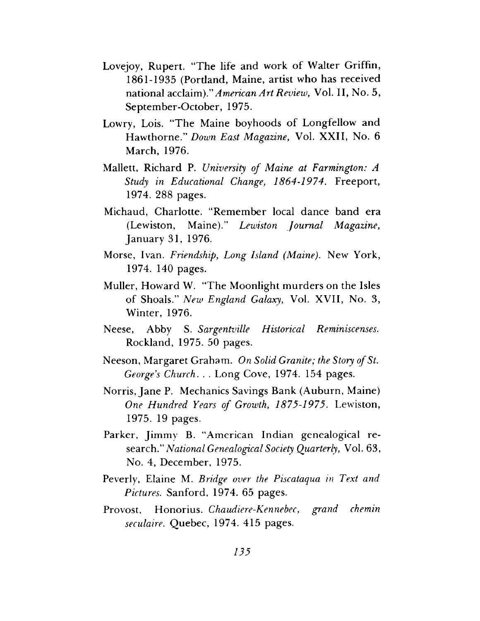- Lovejoy, Rupert. "The life and work of Walter Griffin, 1861-1935 (Pordand, Maine, artist who has received national *acclaim)." American Art Review,* Vol. II, No. 5, September-October, 1975.
- Lowry, Lois. "The Maine boyhoods of Longfellow and Hawthorne." *Down East Magazine,* Vol. XXII, No. 6 March, 1976.
- Mallett, Richard P. *University of Maine at Farmington: A Study in Educational Change, 1864-1974.* Freeport, 1974. 288 pages.
- Michaud, Charlotte. "Remember local dance band era (Lewiston, Maine)." *Lewiston Journal Magazine,* January 31, 1976.
- Morse, Ivan. *Friendship, Long Island (Maine).* New York, 1974. 140 pages.
- Muller, Howard W. "The Moonlight murders on the Isles of Shoals." *New England Galaxy,* Vol. XVII, No. 3, Winter, 1976.
- Neese, Abby S. *Sargentville Historical Reminiscenses.* Rockland, 1975. 50 pages.
- Neeson, Margaret Graham. *On Solid Granite; the Story ofSt. George's Church. . .* Long Cove, 1974. 154 pages.
- Norris, Jane P. Mechanics Savings Bank (Auburn, Maine) *One Hundred Years of Growth, 1875-1975.* Lewiston, 1975. 19 pages.
- Parker, Jimmy B. "American Indian genealogical research." *National Genealogical Society Quarterly,* Vol. 63, No. 4, December, 1975.
- Peverly, Elaine M. *Bridge over the Piscataqua in Text and Pictures.* Sanford, 1974. 65 pages.
- Provost, Honorius. *Chaudiere-Kennebec, grand chemin seculaire.* Quebec, 1974. 415 pages.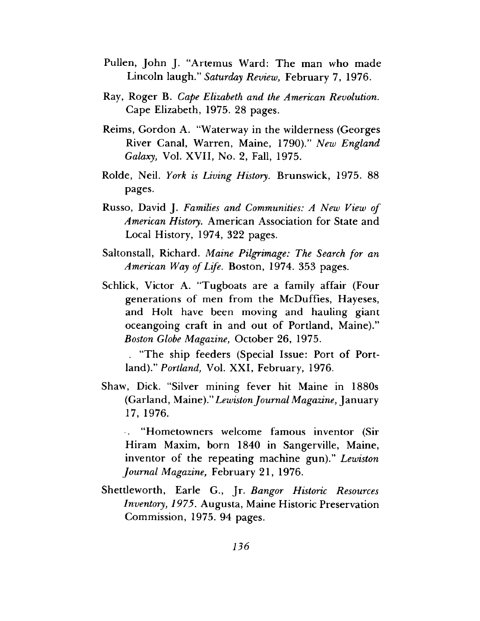- Pullen, John J. "Artemus Ward: The man who made Lincoln laugh." *Saturday Review,* February 7, 1976.
- Ray, Roger B. *Cape Elizabeth and the American Revolution.* Cape Elizabeth, 1975. 28 pages.
- Reims, Gordon A. "Waterway in the wilderness (Georges River Canal, Warren, Maine, 1790)." *New England Galaxy,* Vol. XVII, No. 2, Fall, 1975.
- Rolde, Neil. *York is Living History.* Brunswick, 1975. 88 pages.
- Russo, David J. *Families and Communities: A New View of American History.* American Association for State and Local History, 1974, 322 pages.
- Saltonstall, Richard. *Maine Pilgrimage: The Search for an American Way ofLife.* Boston, 1974. 353 pages.
- Schlick, Victor A. "Tugboats are a family affair (Four generations of men from the McDuffies, Hayeses, and Holt have been moving and hauling giant oceangoing craft in and out of Portland, Maine)." *Boston Globe Magazine,* October 26, 1975.

. "The ship feeders (Special Issue: Port of Portland)." *Portland,* Vol. XXI, February, 1976.

Shaw, Dick. "Silver mining fever hit Maine in 1880s (Garland, Maine)." *LewistonJournal Magazine,* January 17, 1976.

. "Hometowners welcome famous inventor (Sir Hiram Maxim, born 1840 in Sangerville, Maine, inventor of the repeating machine gun)." *Lewiston Journal Magazine,* February 21, 1976.

Shettleworth, Earle G., Jr. *Bangor Historic Resources Inventory, 1975.* Augusta, Maine Historic Preservation Commission, 1975. 94 pages.